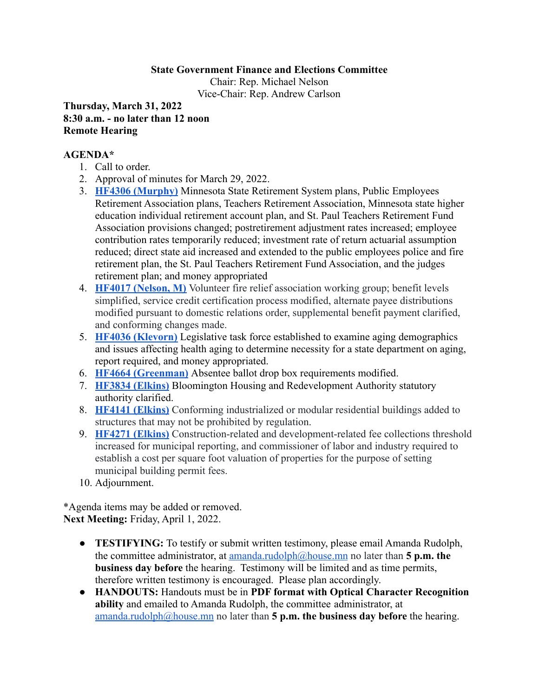## **State Government Finance and Elections Committee**

Chair: Rep. Michael Nelson Vice-Chair: Rep. Andrew Carlson

**Thursday, March 31, 2022 8:30 a.m. - no later than 12 noon Remote Hearing**

## **AGENDA\***

- 1. Call to order.
- 2. Approval of minutes for March 29, 2022.
- 3. **[HF4306 \(Murphy\)](https://www.revisor.mn.gov/bills/bill.php?b=House&f=HF4306&ssn=0&y=2021)** Minnesota State Retirement System plans, Public Employees Retirement Association plans, Teachers Retirement Association, Minnesota state higher education individual retirement account plan, and St. Paul Teachers Retirement Fund Association provisions changed; postretirement adjustment rates increased; employee contribution rates temporarily reduced; investment rate of return actuarial assumption reduced; direct state aid increased and extended to the public employees police and fire retirement plan, the St. Paul Teachers Retirement Fund Association, and the judges retirement plan; and money appropriated
- 4. **[HF4017 \(Nelson, M\)](https://www.revisor.mn.gov/bills/bill.php?b=House&f=HF4017&ssn=0&y=2021)** Volunteer fire relief association working group; benefit levels simplified, service credit certification process modified, alternate payee distributions modified pursuant to domestic relations order, supplemental benefit payment clarified, and conforming changes made.
- 5. **[HF4036 \(Klevorn\)](https://www.revisor.mn.gov/bills/bill.php?b=House&f=HF4036&ssn=0&y=2021)** Legislative task force established to examine aging demographics and issues affecting health aging to determine necessity for a state department on aging, report required, and money appropriated.
- 6. **[HF4664 \(Greenman\)](https://www.revisor.mn.gov/bills/bill.php?b=House&f=HF4664&ssn=0&y=2022)** Absentee ballot drop box requirements modified.
- 7. **[HF3834 \(Elkins\)](https://www.revisor.mn.gov/bills/bill.php?f=HF3834&b=house&y=2022&ssn=0)** Bloomington Housing and Redevelopment Authority statutory authority clarified.
- 8. **[HF4141 \(Elkins\)](https://www.house.leg.state.mn.us/bills/billnum.asp?Billnumber=HF4141&ls_year=92&session_year=2021&session_number=0)** Conforming industrialized or modular residential buildings added to structures that may not be prohibited by regulation.
- 9. **[HF4271 \(Elkins\)](https://www.house.leg.state.mn.us/bills/billnum.asp?Billnumber=HF4271&ls_year=92&session_year=2021&session_number=0)** Construction-related and development-related fee collections threshold increased for municipal reporting, and commissioner of labor and industry required to establish a cost per square foot valuation of properties for the purpose of setting municipal building permit fees.
- 10. Adjournment.

\*Agenda items may be added or removed. **Next Meeting:** Friday, April 1, 2022.

- **TESTIFYING:** To testify or submit written testimony, please email Amanda Rudolph, the committee administrator, at [amanda.rudolph@house.mn](mailto:amanda.rudolph@house.mn) no later than **5 p.m. the business day before** the hearing. Testimony will be limited and as time permits, therefore written testimony is encouraged. Please plan accordingly.
- **HANDOUTS:** Handouts must be in **PDF format with Optical Character Recognition ability** and emailed to Amanda Rudolph, the committee administrator, at [amanda.rudolph@house.mn](mailto:amanda.rudolph@house.mn) no later than **5 p.m. the business day before** the hearing.